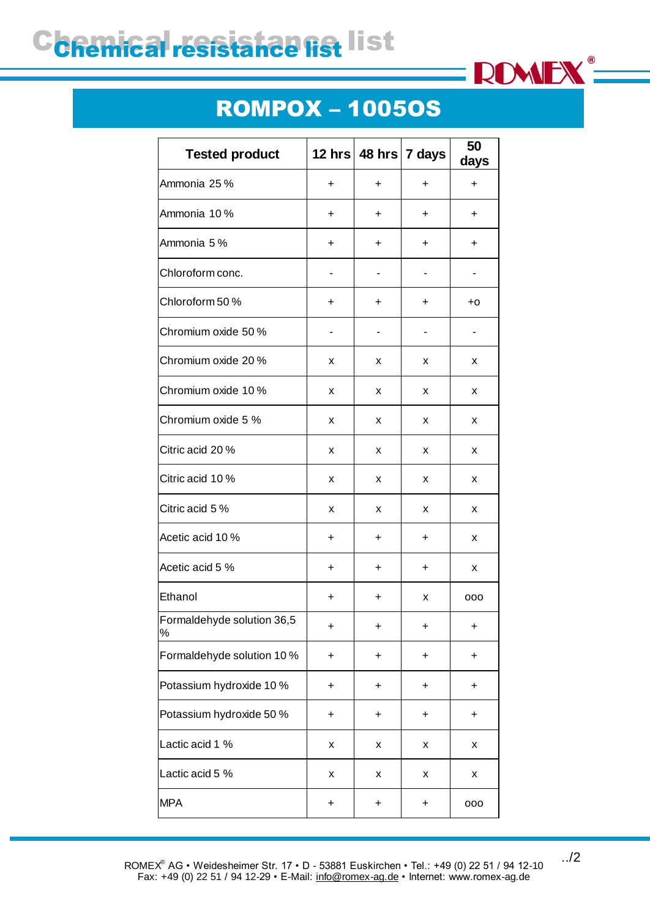## C**chemical resistance list**



## ROMPOX – 1005OS

| <b>Tested product</b>              |           |           | 12 hrs $ 48$ hrs $ 7$ days | 50<br>days |
|------------------------------------|-----------|-----------|----------------------------|------------|
| Ammonia 25 %                       | $\ddot{}$ | $\ddot{}$ | $\ddot{}$                  | $\ddot{}$  |
| Ammonia 10 %                       | $\ddot{}$ | $\ddot{}$ | $\ddot{}$                  | $\ddot{}$  |
| Ammonia 5%                         | +         | +         | $\ddot{}$                  | $\ddot{}$  |
| Chloroform conc.                   |           |           |                            |            |
| Chloroform 50 %                    | +         | +         | $\ddot{}$                  | $+0$       |
| Chromium oxide 50 %                |           |           |                            |            |
| Chromium oxide 20 %                | x         | x         | X                          | x          |
| Chromium oxide 10 %                | x         | x         | X                          | X          |
| Chromium oxide 5 %                 | x         | x         | x                          | x          |
| Citric acid 20 %                   | x         | x         | X                          | x          |
| Citric acid 10 %                   | х         | x         | x                          | x          |
| Citric acid 5 %                    | x         | x         | X                          | X          |
| Acetic acid 10 %                   | +         | +         | $\ddot{}$                  | x          |
| Acetic acid 5 %                    | +         | $\ddot{}$ | $\ddot{}$                  | x          |
| Ethanol                            | +         | +         | x                          | 000        |
| Formaldehyde solution 36,5<br>$\%$ | $\ddot{}$ | $\ddot{}$ | $\ddot{}$                  | $\ddot{}$  |
| Formaldehyde solution 10 %         | $\ddot{}$ | +         | +                          | $\ddot{}$  |
| Potassium hydroxide 10 %           | $\ddot{}$ | +         | +                          | $\ddot{}$  |
| Potassium hydroxide 50 %           | +         | +         | +                          | +          |
| Lactic acid 1 %                    | Χ         | X         | X                          | X          |
| Lactic acid 5 %                    | X         | X         | x                          | X          |
| <b>MPA</b>                         | $\ddot{}$ | +         | +                          | 000        |

../2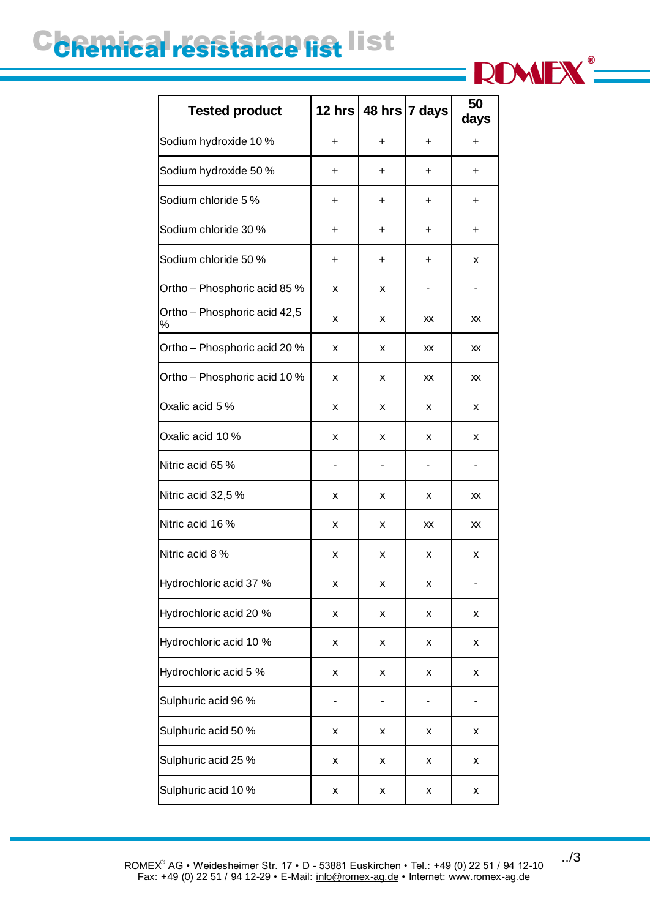## C**chemical resistance list**



| <b>Tested product</b>             | 12 hrs    |   | 48 hrs 7 days | 50<br>days |
|-----------------------------------|-----------|---|---------------|------------|
| Sodium hydroxide 10 %             | $\ddot{}$ | + | ÷             | $\ddot{}$  |
| Sodium hydroxide 50 %             | +         | + | +             | +          |
| Sodium chloride 5 %               | +         | + | +             | +          |
| Sodium chloride 30 %              | +         | + | +             | +          |
| Sodium chloride 50 %              | +         | + | +             | х          |
| Ortho - Phosphoric acid 85 %      | x         | x |               |            |
| Ortho - Phosphoric acid 42,5<br>℅ | x         | х | XX            | XX         |
| Ortho - Phosphoric acid 20 %      | x         | x | XX            | XX         |
| Ortho - Phosphoric acid 10 %      | x         | x | XX            | XX         |
| Oxalic acid 5 %                   | x         | x | x             | x          |
| Oxalic acid 10 %                  | x         | x | x             | х          |
| Nitric acid 65 %                  |           |   |               |            |
| Nitric acid 32,5 %                | x         | x | x             | XX         |
| Nitric acid 16 %                  | x         | х | XX            | XX         |
| Nitric acid 8 %                   | x         | х | x             | х          |
| Hydrochloric acid 37 %            | x         | x | X             |            |
| Hydrochloric acid 20 %            | X         | X | Χ             | X          |
| Hydrochloric acid 10 %            | X         | Χ | Χ             | X          |
| Hydrochloric acid 5 %             | X         | X | X             | X          |
| Sulphuric acid 96 %               |           |   |               |            |
| Sulphuric acid 50 %               | X         | Χ | Χ             | X          |
| Sulphuric acid 25 %               | X         | X | Χ             | X          |
| Sulphuric acid 10 %               | X         | Χ | Χ             | Χ          |

../3